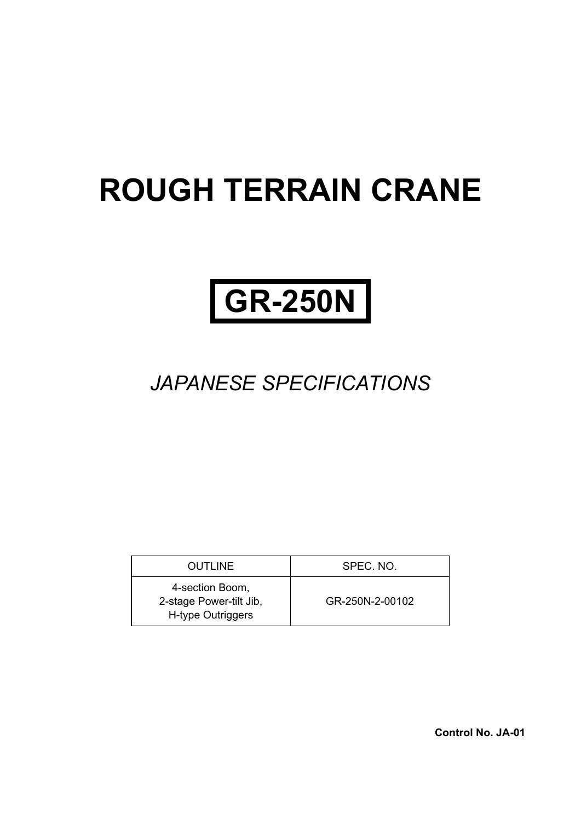# **ROUGH TERRAIN CRANE**

# **GR-250N**

# *JAPANESE SPECIFICATIONS*

| <b>OUTLINE</b>                                                  | SPEC. NO.       |
|-----------------------------------------------------------------|-----------------|
| 4-section Boom,<br>2-stage Power-tilt Jib,<br>H-type Outriggers | GR-250N-2-00102 |

**Control No. JA-01**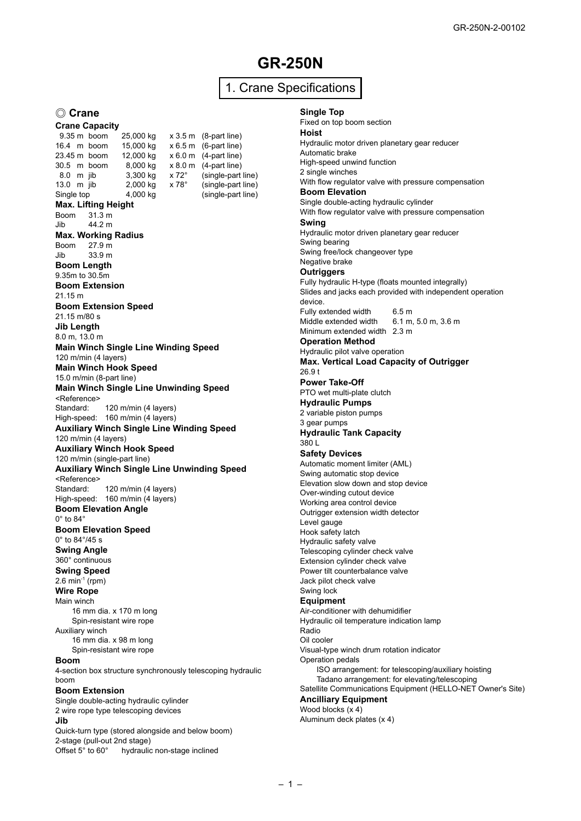# **GR-250N**

## 1. Crane Specifications

#### ◎ **Crane**

**Crane Capacity**<br>9.35 m boom 9.35 m boom 25,000 kg x 3.5 m (8-part line)<br>16.4 m boom 15.000 kg x 6.5 m (6-part line) 16.4 m boom 15,000 kg x 6.5 m (6-part line)<br>23.45 m boom 12,000 kg x 6.0 m (4-part line) 23.45 m boom 12,000 kg x 6.0 m (4-part line)<br>30.5 m boom 8,000 kg x 8.0 m (4-part line) 30.5 m boom  $\begin{array}{r} 8,000 \text{ kg} \\ 8.0 \text{ m} \end{array}$  x 8.0 m (4-part line)  $\begin{array}{r} 8.0 \text{ m} \\ 3,300 \text{ kg} \\ \end{array}$  x 72 $\degree$  (single-part 8.0 m jib 3,300 kg x 72° (single-part line)<br>13.0 m jib 2,000 kg x 78° (single-part line)  $2,000$  kg  $\times 78^\circ$  (single-part line) Single top 4,000 kg (single-part line) **Max. Lifting Height** Boom 31.3 m Jib 44.2 m **Max. Working Radius** Boom 27.9 m Jib 33.9 m **Boom Length** 9.35m to 30.5m **Boom Extension** 21.15 m **Boom Extension Speed** 21.15 m/80 s **Jib Length** 8.0 m, 13.0 m **Main Winch Single Line Winding Speed** 120 m/min (4 layers) **Main Winch Hook Speed** 15.0 m/min (8-part line) **Main Winch Single Line Unwinding Speed** <Reference> Standard: 120 m/min (4 layers) High-speed: 160 m/min (4 layers) **Auxiliary Winch Single Line Winding Speed** 120 m/min (4 layers) **Auxiliary Winch Hook Speed** 120 m/min (single-part line) **Auxiliary Winch Single Line Unwinding Speed** <Reference> Standard: 120 m/min (4 layers) High-speed: 160 m/min (4 layers) **Boom Elevation Angle**  $0^\circ$  to  $84^\circ$ **Boom Elevation Speed** 0° to 84°/45 s **Swing Angle** 360° continuous **Swing Speed**  $2.6 \text{ min}^{-1}$  (rpm) **Wire Rope** Main winch 16 mm dia. x 170 m long Spin-resistant wire rope Auxiliary winch 16 mm dia. x 98 m long Spin-resistant wire rope **Boom** 4-section box structure synchronously telescoping hydraulic boom **Boom Extension** Single double-acting hydraulic cylinder 2 wire rope type telescoping devices **Jib** Quick-turn type (stored alongside and below boom)

2-stage (pull-out 2nd stage)<br>Offset  $5^\circ$  to  $60^\circ$  hydraulig hydraulic non-stage inclined

#### **Single Top**

Fixed on top boom section **Hoist** Hydraulic motor driven planetary gear reducer Automatic brake High-speed unwind function 2 single winches With flow regulator valve with pressure compensation **Boom Elevation** Single double-acting hydraulic cylinder With flow regulator valve with pressure compensation **Swing** Hydraulic motor driven planetary gear reducer Swing bearing Swing free/lock changeover type Negative brake **Outriggers** Fully hydraulic H-type (floats mounted integrally) Slides and jacks each provided with independent operation device. Fully extended width 6.5 m<br>Middle extended width 6.1 m, 5.0 m, 3.6 m Middle extended width Minimum extended width 2.3 m **Operation Method** Hydraulic pilot valve operation **Max. Vertical Load Capacity of Outrigger** 26.9 t **Power Take-Off** PTO wet multi-plate clutch **Hydraulic Pumps** 2 variable piston pumps 3 gear pumps **Hydraulic Tank Capacity** 380 L **Safety Devices** Automatic moment limiter (AML) Swing automatic stop device Elevation slow down and stop device Over-winding cutout device Working area control device Outrigger extension width detector Level gauge Hook safety latch Hydraulic safety valve Telescoping cylinder check valve Extension cylinder check valve Power tilt counterbalance valve Jack pilot check valve Swing lock **Equipment** Air-conditioner with dehumidifier Hydraulic oil temperature indication lamp Radio Oil cooler Visual-type winch drum rotation indicator Operation pedals ISO arrangement: for telescoping/auxiliary hoisting Tadano arrangement: for elevating/telescoping Satellite Communications Equipment (HELLO-NET Owner's Site) **Ancilliary Equipment** Wood blocks (x 4) Aluminum deck plates (x 4)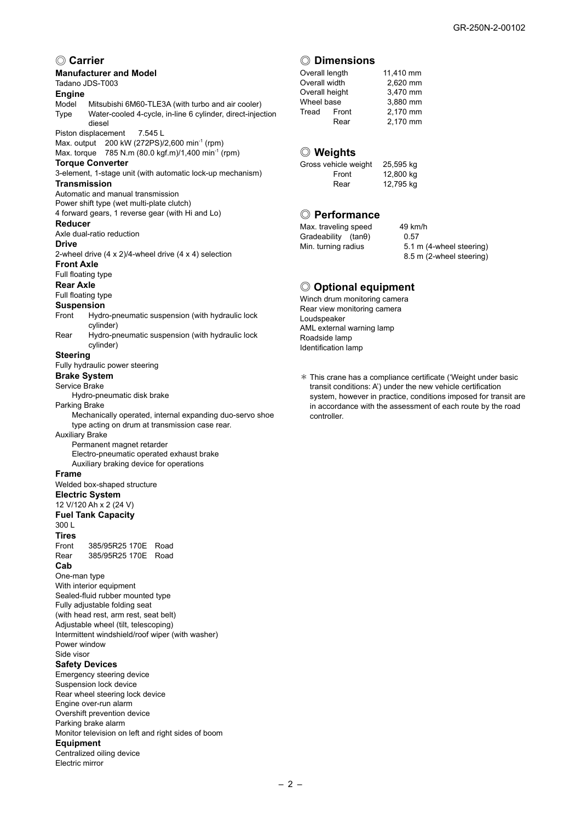#### ◎ **Carrier**

#### **Manufacturer and Model**

Tadano JDS-T003

# **Engine**

Mitsubishi 6M60-TLE3A (with turbo and air cooler) Type Water-cooled 4-cycle, in-line 6 cylinder, direct-injection diesel

Piston displacement 7.545 L Max. output 200 kW (272PS)/2,600 min-1 (rpm)

Max. torque 785 N.m (80.0 kgf.m)/1,400 min-1 (rpm) **Torque Converter**

3-element, 1-stage unit (with automatic lock-up mechanism) **Transmission**

#### Automatic and manual transmission

Power shift type (wet multi-plate clutch) 4 forward gears, 1 reverse gear (with Hi and Lo)

#### **Reducer**

Axle dual-ratio reduction

#### **Drive**

2-wheel drive (4 x 2)/4-wheel drive (4 x 4) selection

#### **Front Axle**

Full floating type

#### **Rear Axle**

Full floating type

#### **Suspension**

- Front Hydro-pneumatic suspension (with hydraulic lock cylinder)
- Rear Hydro-pneumatic suspension (with hydraulic lock cylinder)

#### **Steering**

Fully hydraulic power steering

#### **Brake System**

Service Brake

Hydro-pneumatic disk brake

#### Parking Brake

 Mechanically operated, internal expanding duo-servo shoe type acting on drum at transmission case rear.

Auxiliary Brake

Permanent magnet retarder Electro-pneumatic operated exhaust brake

#### Auxiliary braking device for operations

**Frame**

Welded box-shaped structure

### **Electric System**

12 V/120 Ah x 2 (24 V)

### **Fuel Tank Capacity**

300 L

**Tires** Front 385/95R25 170E Road Rear 385/95R25 170E Road

#### **Cab**

One-man type With interior equipment Sealed-fluid rubber mounted type Fully adjustable folding seat (with head rest, arm rest, seat belt) Adjustable wheel (tilt, telescoping) Intermittent windshield/roof wiper (with washer) Power window

#### Side visor

- **Safety Devices**
- Emergency steering device

Suspension lock device Rear wheel steering lock device Engine over-run alarm Overshift prevention device Parking brake alarm Monitor television on left and right sides of boom **Equipment**

Centralized oiling device Electric mirror

#### ◎ **Dimensions**

| Overall length |      | 11,410 mm |
|----------------|------|-----------|
| Overall width  |      | 2.620 mm  |
| Overall height |      | 3.470 mm  |
| Wheel base     |      | 3.880 mm  |
| Tread Front    |      | 2.170 mm  |
|                | Rear | 2,170 mm  |

#### ◎ **Weights**

| Gross vehicle weight | 25,595 kg |
|----------------------|-----------|
| Front                | 12,800 kg |
| Rear                 | 12,795 kg |

#### ◎ **Performance**

| Max. traveling speed       | 49 kn |
|----------------------------|-------|
| Gradeability $(tan\theta)$ | 0.57  |
| Min. turning radius        | 5.11  |
|                            | 8.51  |

49 km/h 5.1 m (4-wheel steering) 8.5 m (2-wheel steering)

#### ◎ **Optional equipment**

Winch drum monitoring camera Rear view monitoring camera Loudspeaker AML external warning lamp Roadside lamp Identification lamp

\* This crane has a compliance certificate ('Weight under basic transit conditions: A') under the new vehicle certification system, however in practice, conditions imposed for transit are in accordance with the assessment of each route by the road controller.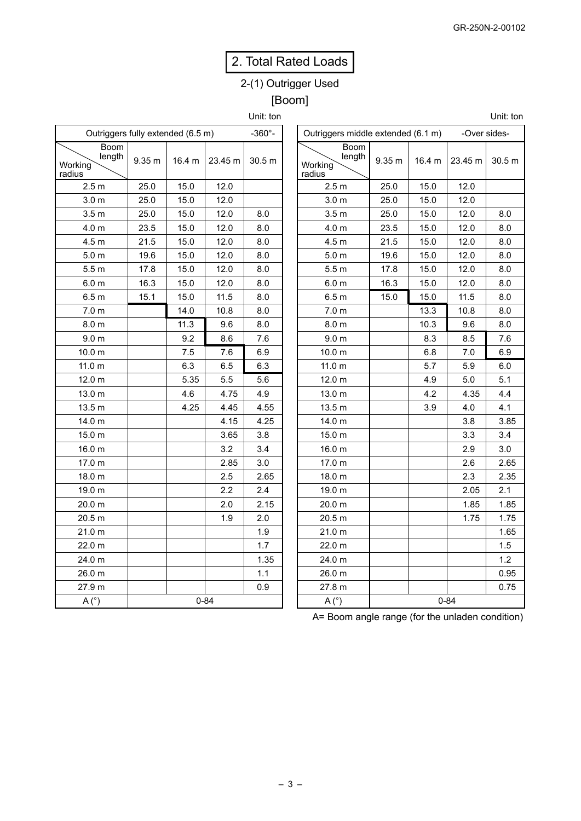# 2. Total Rated Loads

# 2-(1) Outrigger Used [Boom]

Unit: ton

| Outriggers fully extended (6.5 m)   | $-360^{\circ}$ - |        |          |        |
|-------------------------------------|------------------|--------|----------|--------|
| Boom<br>length<br>Working<br>radius | 9.35 m           | 16.4 m | 23.45 m  | 30.5 m |
| 2.5 <sub>m</sub>                    | 25.0             | 15.0   | 12.0     |        |
| 3.0 <sub>m</sub>                    | 25.0             | 15.0   | 12.0     |        |
| 3.5 <sub>m</sub>                    | 25.0             | 15.0   | 12.0     | 8.0    |
| 4.0 <sub>m</sub>                    | 23.5             | 15.0   | 12.0     | 8.0    |
| 4.5 m                               | 21.5             | 15.0   | 12.0     | 8.0    |
| 5.0 <sub>m</sub>                    | 19.6             | 15.0   | 12.0     | 8.0    |
| 5.5 <sub>m</sub>                    | 17.8             | 15.0   | 12.0     | 8.0    |
| 6.0 <sub>m</sub>                    | 16.3             | 15.0   | 12.0     | 8.0    |
| 6.5 <sub>m</sub>                    | 15.1             | 15.0   | 11.5     | 8.0    |
| 7.0 <sub>m</sub>                    |                  | 14.0   | 10.8     | 8.0    |
| 8.0 <sub>m</sub>                    |                  | 11.3   | 9.6      | 8.0    |
| 9.0 <sub>m</sub>                    |                  | 9.2    | 8.6      | 7.6    |
| 10.0 <sub>m</sub>                   |                  | 7.5    | 7.6      | 6.9    |
| 11.0 <sub>m</sub>                   |                  | 6.3    | 6.5      | 6.3    |
| 12.0 m                              |                  | 5.35   | 5.5      | 5.6    |
| 13.0 m                              |                  | 4.6    | 4.75     | 4.9    |
| 13.5 m                              |                  | 4.25   | 4.45     | 4.55   |
| 14.0 m                              |                  |        | 4.15     | 4.25   |
| 15.0 m                              |                  |        | 3.65     | 3.8    |
| 16.0 m                              |                  |        | 3.2      | 3.4    |
| 17.0 m                              |                  |        | 2.85     | 3.0    |
| 18.0 m                              |                  |        | 2.5      | 2.65   |
| 19.0 m                              |                  |        | 2.2      | 2.4    |
| 20.0 m                              |                  |        | 2.0      | 2.15   |
| 20.5 m                              |                  |        | 1.9      | 2.0    |
| 21.0 m                              |                  |        |          | 1.9    |
| 22.0 m                              |                  |        |          | 1.7    |
| 24.0 m                              |                  |        |          | 1.35   |
| 26.0 m                              |                  |        |          | 1.1    |
| 27.9 m                              |                  |        |          | 0.9    |
| A(°)                                |                  |        | $0 - 84$ |        |

| Outriggers middle extended (6.1 m)         |        |        | -Over sides- |        |
|--------------------------------------------|--------|--------|--------------|--------|
| <b>Boom</b><br>length<br>Working<br>radius | 9.35 m | 16.4 m | 23.45 m      | 30.5 m |
| 2.5 <sub>m</sub>                           | 25.0   | 15.0   | 12.0         |        |
| 3.0 m                                      | 25.0   | 15.0   | 12.0         |        |
| 3.5 <sub>m</sub>                           | 25.0   | 15.0   | 12.0         | 8.0    |
| 4.0 <sub>m</sub>                           | 23.5   | 15.0   | 12.0         | 8.0    |
| 4.5 <sub>m</sub>                           | 21.5   | 15.0   | 12.0         | 8.0    |
| 5.0 <sub>m</sub>                           | 19.6   | 15.0   | 12.0         | 8.0    |
| 5.5 <sub>m</sub>                           | 17.8   | 15.0   | 12.0         | 8.0    |
| 6.0 <sub>m</sub>                           | 16.3   | 15.0   | 12.0         | 8.0    |
| 6.5 <sub>m</sub>                           | 15.0   | 15.0   | 11.5         | 8.0    |
| 7.0 m                                      |        | 13.3   | 10.8         | 8.0    |
| 8.0 <sub>m</sub>                           |        | 10.3   | 9.6          | 8.0    |
| 9.0 <sub>m</sub>                           |        | 8.3    | 8.5          | 7.6    |
| 10.0 <sub>m</sub>                          |        | 6.8    | 7.0          | 6.9    |
| 11.0 <sub>m</sub>                          |        | 5.7    | 5.9          | 6.0    |
| 12.0 m                                     |        | 4.9    | 5.0          | 5.1    |
| 13.0 m                                     |        | 4.2    | 4.35         | 4.4    |
| 13.5 m                                     |        | 3.9    | 4.0          | 4.1    |
| 14.0 m                                     |        |        | 3.8          | 3.85   |
| 15.0 m                                     |        |        | 3.3          | 3.4    |
| 16.0 m                                     |        |        | 2.9          | 3.0    |
| 17.0 m                                     |        |        | 2.6          | 2.65   |
| 18.0 m                                     |        |        | 2.3          | 2.35   |
| 19.0 m                                     |        |        | 2.05         | 2.1    |
| 20.0 m                                     |        |        | 1.85         | 1.85   |
| 20.5 m                                     |        |        | 1.75         | 1.75   |
| 21.0 m                                     |        |        |              | 1.65   |
| 22.0 m                                     |        |        |              | 1.5    |
| 24.0 m                                     |        |        |              | 1.2    |
| 26.0 m                                     |        |        |              | 0.95   |
| 27.8 m                                     |        |        |              | 0.75   |
| A(°)                                       |        |        | $0 - 84$     |        |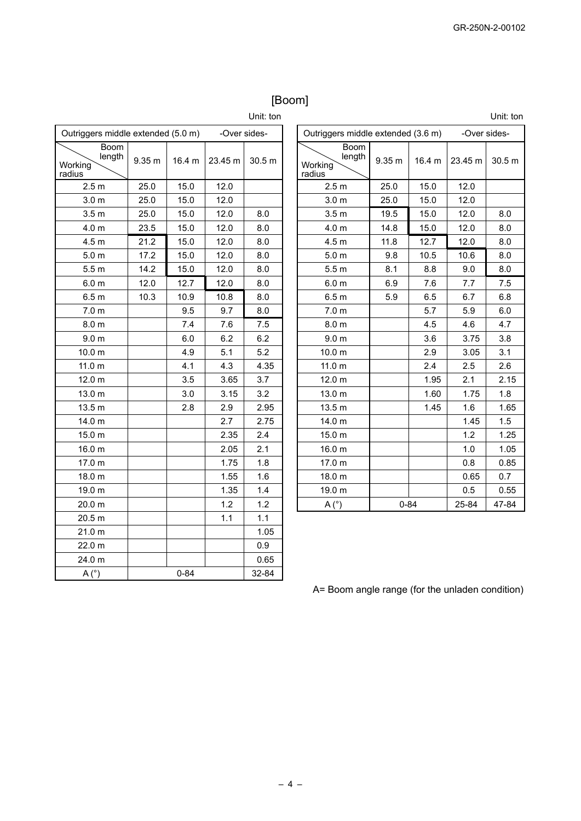# [Boom]

Unit: ton

| Outriggers middle extended (5.0 m)         |        |          | -Over sides- |        |  |  |
|--------------------------------------------|--------|----------|--------------|--------|--|--|
| <b>Boom</b><br>length<br>Working<br>radius | 9.35 m | 16.4 m   | 23.45 m      | 30.5 m |  |  |
| 2.5 <sub>m</sub>                           | 25.0   | 15.0     | 12.0         |        |  |  |
| 3.0 <sub>m</sub>                           | 25.0   | 15.0     | 12.0         |        |  |  |
| 3.5 <sub>m</sub>                           | 25.0   | 15.0     | 12.0         | 8.0    |  |  |
| 4.0 <sub>m</sub>                           | 23.5   | 15.0     | 12.0         | 8.0    |  |  |
| 4.5 <sub>m</sub>                           | 21.2   | 15.0     | 12.0         | 8.0    |  |  |
| 5.0 <sub>m</sub>                           | 17.2   | 15.0     | 12.0         | 8.0    |  |  |
| 5.5 <sub>m</sub>                           | 14.2   | 15.0     | 12.0         | 8.0    |  |  |
| 6.0 <sub>m</sub>                           | 12.0   | 12.7     | 12.0         | 8.0    |  |  |
| 6.5 <sub>m</sub>                           | 10.3   | 10.9     | 10.8         | 8.0    |  |  |
| 7.0 <sub>m</sub>                           |        | 9.5      | 9.7          | 8.0    |  |  |
| 8.0 m                                      |        | 7.4      | 7.6          | 7.5    |  |  |
| 9.0 <sub>m</sub>                           |        | 6.0      | 6.2          | 6.2    |  |  |
| 10.0 <sub>m</sub>                          |        | 4.9      | 5.1          | 5.2    |  |  |
| 11.0 <sub>m</sub>                          |        | 4.1      | 4.3          | 4.35   |  |  |
| 12.0 m                                     |        | 3.5      | 3.65         | 3.7    |  |  |
| 13.0 m                                     |        | 3.0      | 3.15         | 3.2    |  |  |
| 13.5 m                                     |        | 2.8      | 2.9          | 2.95   |  |  |
| 14.0 m                                     |        |          | 2.7          | 2.75   |  |  |
| 15.0 m                                     |        |          | 2.35         | 2.4    |  |  |
| 16.0 m                                     |        |          | 2.05         | 2.1    |  |  |
| 17.0 m                                     |        |          | 1.75         | 1.8    |  |  |
| 18.0 m                                     |        |          | 1.55         | 1.6    |  |  |
| 19.0 m                                     |        |          | 1.35         | 1.4    |  |  |
| 20.0 m                                     |        |          | 1.2          | 1.2    |  |  |
| 20.5 m                                     |        |          | 1.1          | 1.1    |  |  |
| 21.0 <sub>m</sub>                          |        |          |              | 1.05   |  |  |
| 22.0 m                                     |        |          |              | 0.9    |  |  |
| 24.0 m                                     |        |          |              | 0.65   |  |  |
| A(°)                                       |        | $0 - 84$ |              | 32-84  |  |  |

|                                                    |                            |        |         | Unit: ton         |  |  |  |  |  |  |
|----------------------------------------------------|----------------------------|--------|---------|-------------------|--|--|--|--|--|--|
| Outriggers middle extended (3.6 m)<br>-Over sides- |                            |        |         |                   |  |  |  |  |  |  |
| <b>Boom</b><br>length<br>Working<br>radius         | 9.35 <sub>m</sub>          | 16.4 m | 23.45 m | 30.5 <sub>m</sub> |  |  |  |  |  |  |
| 2.5 <sub>m</sub>                                   | 25.0                       | 15.0   | 12.0    |                   |  |  |  |  |  |  |
| 3.0 <sub>m</sub>                                   | 25.0                       | 15.0   | 12.0    |                   |  |  |  |  |  |  |
| 3.5 <sub>m</sub>                                   | 19.5                       | 15.0   | 12.0    | 8.0               |  |  |  |  |  |  |
| 4.0 <sub>m</sub>                                   | 14.8                       | 15.0   | 12.0    | 8.0               |  |  |  |  |  |  |
| 4.5 <sub>m</sub>                                   | 11.8                       | 12.7   | 12.0    | 8.0               |  |  |  |  |  |  |
| 5.0 <sub>m</sub>                                   | 9.8                        | 10.5   | 10.6    | 8.0               |  |  |  |  |  |  |
| 5.5 <sub>m</sub>                                   | 8.1                        | 8.8    | 9.0     | 8.0               |  |  |  |  |  |  |
| 6.0 <sub>m</sub>                                   | 6.9                        | 7.6    | 7.7     | 7.5               |  |  |  |  |  |  |
| 6.5 <sub>m</sub>                                   | 5.9                        | 6.5    | 6.7     | 6.8               |  |  |  |  |  |  |
| 7.0 <sub>m</sub>                                   |                            | 5.7    | 5.9     | 6.0               |  |  |  |  |  |  |
| 8.0 <sub>m</sub>                                   |                            | 4.5    | 4.6     | 4.7               |  |  |  |  |  |  |
| 9.0 <sub>m</sub>                                   |                            | 3.6    | 3.75    | 3.8               |  |  |  |  |  |  |
| 10.0 m                                             |                            | 2.9    | 3.05    | 3.1               |  |  |  |  |  |  |
| 11.0 <sub>m</sub>                                  |                            | 2.4    | 2.5     | 2.6               |  |  |  |  |  |  |
| 12.0 <sub>m</sub>                                  |                            | 1.95   | 2.1     | 2.15              |  |  |  |  |  |  |
| 13.0 m                                             |                            | 1.60   | 1.75    | 1.8               |  |  |  |  |  |  |
| 13.5 <sub>m</sub>                                  |                            | 1.45   | 1.6     | 1.65              |  |  |  |  |  |  |
| 14.0 m                                             |                            |        | 1.45    | 1.5               |  |  |  |  |  |  |
| 15.0 m                                             |                            |        | 1.2     | 1.25              |  |  |  |  |  |  |
| 16.0 m                                             |                            |        | 1.0     | 1.05              |  |  |  |  |  |  |
| 17.0 m                                             |                            |        | 0.8     | 0.85              |  |  |  |  |  |  |
| 18.0 m                                             |                            |        | 0.65    | 0.7               |  |  |  |  |  |  |
| 19.0 m                                             |                            |        | 0.5     | 0.55              |  |  |  |  |  |  |
| A(°)                                               | $0 - 84$<br>25-84<br>47-84 |        |         |                   |  |  |  |  |  |  |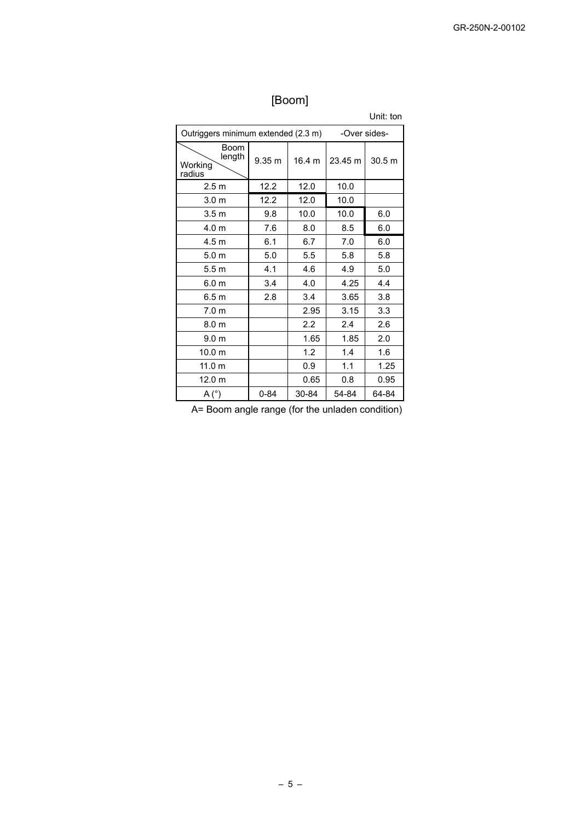# [Boom]

|                                                     |          |        |         | Unit: ton |  |  |  |  |  |  |
|-----------------------------------------------------|----------|--------|---------|-----------|--|--|--|--|--|--|
| Outriggers minimum extended (2.3 m)<br>-Over sides- |          |        |         |           |  |  |  |  |  |  |
| <b>Boom</b><br>length<br>Working<br>radius          | 9.35 m   | 16.4 m | 23.45 m | 30.5 m    |  |  |  |  |  |  |
| 2.5 <sub>m</sub>                                    | 12.2     | 12.0   | 10.0    |           |  |  |  |  |  |  |
| 3.0 <sub>m</sub>                                    | 12.2     | 12.0   | 10.0    |           |  |  |  |  |  |  |
| 3.5 <sub>m</sub>                                    | 9.8      | 10.0   | 10.0    | 6.0       |  |  |  |  |  |  |
| 4.0 m                                               | 7.6      | 8.0    | 8.5     | 6.0       |  |  |  |  |  |  |
| 4.5 <sub>m</sub>                                    | 6.1      | 6.7    | 7.0     | 6.0       |  |  |  |  |  |  |
| 5.0 <sub>m</sub>                                    | 5.0      | 5.5    | 5.8     | 5.8       |  |  |  |  |  |  |
| 5.5m                                                | 4.1      | 4.6    | 4.9     | 5.0       |  |  |  |  |  |  |
| 6.0 <sub>m</sub>                                    | 3.4      | 4.0    | 4.25    | 4.4       |  |  |  |  |  |  |
| 6.5 m                                               | 2.8      | 3.4    | 3.65    | 3.8       |  |  |  |  |  |  |
| 7.0 <sub>m</sub>                                    |          | 2.95   | 3.15    | 3.3       |  |  |  |  |  |  |
| 8.0 <sub>m</sub>                                    |          | 2.2    | 2.4     | 2.6       |  |  |  |  |  |  |
| 9.0 <sub>m</sub>                                    |          | 1.65   | 1.85    | 2.0       |  |  |  |  |  |  |
| 10.0 <sub>m</sub>                                   |          | 1.2    | 1.4     | 1.6       |  |  |  |  |  |  |
| 11.0 m                                              |          | 0.9    | 1.1     | 1.25      |  |  |  |  |  |  |
| 12.0 <sub>m</sub>                                   |          | 0.65   | 0.8     | 0.95      |  |  |  |  |  |  |
| A(°)                                                | $0 - 84$ | 30-84  | 54-84   | 64-84     |  |  |  |  |  |  |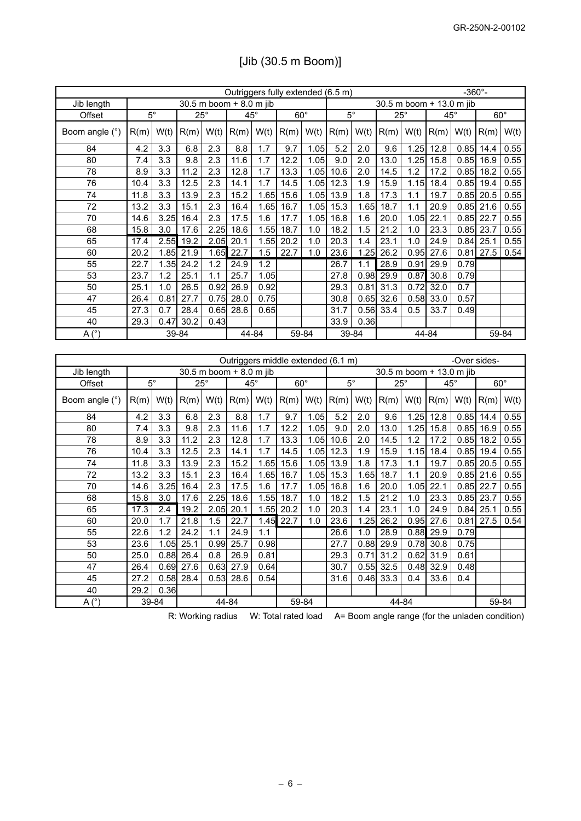|                 | Outriggers fully extended (6.5 m) |                  |            |                         |            |       |                       | $-360^{\circ}$ -                   |                                                    |       |                          |       |              |      |              |       |
|-----------------|-----------------------------------|------------------|------------|-------------------------|------------|-------|-----------------------|------------------------------------|----------------------------------------------------|-------|--------------------------|-------|--------------|------|--------------|-------|
| Jib length      |                                   |                  |            | 30.5 m boom + 8.0 m jib |            |       |                       |                                    |                                                    |       | 30.5 m boom + 13.0 m jib |       |              |      |              |       |
| Offset          | $\overline{5^{\circ}}$            |                  | $25^\circ$ |                         | $45^\circ$ |       | $\overline{60^\circ}$ |                                    | $\overline{5^{\circ}}$                             |       | $25^\circ$               |       | $45^{\circ}$ |      | $60^{\circ}$ |       |
| Boom angle (°)  | R(m)                              | W(t)             | R(m)       | W(t)                    | R(m)       | W(t)  | R(m)                  | W(t)                               | R(m)                                               | W(t)  | R(m)                     | W(t)  | R(m)         | W(t) | R(m)         | W(t)  |
| 84              | 4.2                               | 3.3              | 6.8        | 2.3                     | 8.8        | 1.7   | 9.7                   | 1.05                               | 5.2                                                | 2.0   | 9.6                      | 1.25  | 12.8         | 0.85 | 14.4         | 0.55  |
| 80              | 7.4                               | 3.3              | 9.8        | 2.3                     | 11.6       | 1.7   | 12.2                  | 1.05                               | 9.0                                                | 2.0   | 13.0                     | 1.25  | 15.8         | 0.85 | 16.9         | 0.55  |
| 78              | 8.9                               | 3.3              | 11.2       | 2.3                     | 12.8       | 1.7   | 13.3                  | 1.05                               | 10.6                                               | 2.0   | 14.5                     | 1.2   | 17.2         | 0.85 | 18.2         | 0.55  |
| 76              | 10.4                              | 3.3              | 12.5       | 2.3                     | 14.1       | 1.7   | $\overline{14.5}$     | 1.05                               | 12.3                                               | 1.9   | 15.9                     | 1.15  | 18.4         | 0.85 | 19.4         | 0.55  |
| 74              | 11.8                              | 3.3              | 13.9       | 2.3                     | 15.2       | 1.65  | 15.6                  | 1.05                               | 13.9                                               | 1.8   | 17.3                     | 1.1   | 19.7         | 0.85 | 20.5         | 0.55  |
| 72              | 13.2                              | 3.3              | 15.1       | 2.3                     | 16.4       | 1.65  | 16.7                  | 1.05                               | 15.3                                               | 1.65  | 18.7                     | 1.1   | 20.9         | 0.85 | 21.6         | 0.55  |
| $\overline{70}$ | 14.6                              | 3.25             | 16.4       | 2.3                     | 17.5       | 1.6   | 17.7                  | 1.05                               | 16.8                                               | 1.6   | 20.0                     | 1.05  | 22.1         | 0.85 | 22.7         | 0.55  |
| 68              | 15.8                              | 3.0              | 17.6       | 2.25                    | 18.6       | 1.55  | 18.7                  | 1.0                                | 18.2                                               | 1.5   | 21.2                     | 1.0   | 23.3         | 0.85 | 23.7         | 0.55  |
| 65              | 17.4                              | 2.55             | 19.2       | 2.05                    | 20.1       | 1.55  | 20.2                  | 1.0                                | $\overline{20.3}$                                  | 1.4   | 23.1                     | 1.0   | 24.9         | 0.84 | 25.1         | 0.55  |
| 60              | 20.2                              | 1.85             | 21.9       | 1.65                    | 22.7       | 1.5   | 22.7                  | 1.0                                | 23.6                                               | 1.25  | 26.2                     | 0.95  | 27.6         | 0.81 | 27.5         | 0.54  |
| 55              | 22.7                              | 1.35             | 24.2       | 1.2                     | 24.9       | 1.2   |                       |                                    | 26.7                                               | 1.1   | 28.9                     | 0.91  | 29.9         | 0.79 |              |       |
| 53              | 23.7                              | 1.2              | 25.1       | 1.1                     | 25.7       | 1.05  |                       |                                    | 27.8                                               | 0.98  | 29.9                     | 0.87  | 30.8         | 0.79 |              |       |
| 50              | 25.1                              | 1.0              | 26.5       | 0.92                    | 26.9       | 0.92  |                       |                                    | 29.3                                               | 0.81  | 31.3                     | 0.72  | 32.0         | 0.7  |              |       |
| $\overline{47}$ | 26.4                              | 0.81             | 27.7       | 0.75                    | 28.0       | 0.75  |                       |                                    | 30.8                                               | 0.65  | 32.6                     | 0.58  | 33.0         | 0.57 |              |       |
| 45              | 27.3                              | 0.7              | 28.4       | 0.65                    | 28.6       | 0.65  |                       |                                    | 31.7                                               | 0.56  | 33.4                     | 0.5   | 33.7         | 0.49 |              |       |
| 40              | 29.3                              | 0.47             | 30.2       | 0.43                    |            |       |                       |                                    | 33.9                                               | 0.36  |                          |       |              |      |              |       |
| A(°)            |                                   |                  | 39-84      |                         |            | 44-84 |                       | 59-84                              |                                                    | 39-84 |                          | 44-84 |              |      |              | 59-84 |
|                 |                                   |                  |            |                         |            |       |                       |                                    |                                                    |       |                          |       |              |      |              |       |
|                 |                                   |                  |            |                         |            |       |                       | Outriggers middle extended (6.1 m) |                                                    |       |                          |       |              |      | -Over sides- |       |
| Jib length      |                                   |                  |            | 30.5 m boom + 8.0 m jib |            |       |                       |                                    | 30.5 m boom + 13.0 m jib                           |       |                          |       |              |      |              |       |
| Offset          | $\overline{5^{\circ}}$            |                  | $25^\circ$ |                         | $45^\circ$ |       | $\overline{60^\circ}$ |                                    | $\overline{5^{\circ}}$<br>$25^\circ$<br>$45^\circ$ |       | $60^\circ$               |       |              |      |              |       |
| Boom angle (°)  | R(m)                              | W(t)             | R(m)       | W(t)                    | R(m)       | W(t)  | R(m)                  | W(t)                               | R(m)                                               | W(t)  | R(m)                     | W(t)  | R(m)         | W(t) | R(m)         | W(t)  |
| 84              | 4.2                               | $\overline{3.3}$ | 6.8        | 2.3                     | 8.8        | 1.7   | 9.7                   | 1.05                               | 5.2                                                | 2.0   | 9.6                      | 1.25  | 12.8         | 0.85 | 14.4         | 0.55  |
| 80              | 7.4                               | 3.3              | 9.8        | 2.3                     | 11.6       | 1.7   | 12.2                  | 1.05                               | 9.0                                                | 2.0   | 13.0                     | 1.25  | 15.8         | 0.85 | 16.9         | 0.55  |
| 78              | 8.9                               | 3.3              | 11.2       | 2.3                     | 12.8       | 1.7   | 13.3                  | 1.05                               | 10.6                                               | 2.0   | 14.5                     | 1.2   | 17.2         | 0.85 | 18.2         | 0.55  |
| $\overline{76}$ | 10.4                              | $\overline{3.3}$ | 12.5       | 2.3                     | 14.1       | 1.7   | 14.5                  | 1.05                               | 12.3                                               | 1.9   | 15.9                     | 1.15  | 18.4         | 0.85 | 19.4         | 0.55  |
| 74              | 11.8                              | 3.3              | 13.9       | 2.3                     | 15.2       | 1.65  | 15.6                  | 1.05                               | 13.9                                               | 1.8   | 17.3                     | 1.1   | 19.7         | 0.85 | 20.5         | 0.55  |
| 72              | 13.2                              | 3.3              | 15.1       | 2.3                     | 16.4       | 1.65  | 16.7                  | 1.05                               | 15.3                                               | 1.65  | 18.7                     | 1.1   | 20.9         | 0.85 | 21.6         | 0.55  |
| 70              | 14.6                              | 3.25             | 16.4       | 2.3                     | 17.5       | 1.6   | 17.7                  | 1.05                               | 16.8                                               | 1.6   | 20.0                     | 1.05  | 22.1         | 0.85 | 22.7         | 0.55  |
| 68              | 15.8                              | 3.0              | 17.6       | 2.25                    | 18.6       | 1.55  | 18.7                  | 1.0                                | 18.2                                               | 1.5   | 21.2                     | 1.0   | 23.3         | 0.85 | 23.7         | 0.55  |
| 65              | 17.3                              | 2.4              | 19.2       | 2.05                    | 20.1       | 1.55  | 20.2                  | 1.0                                | 20.3                                               | 1.4   | 23.1                     | 1.0   | 24.9         | 0.84 | 25.1         | 0.55  |
| 60              | 20.0                              | 1.7              | 21.8       | 1.5                     | 22.7       | 1.45  | 22.7                  | 1.0                                | 23.6                                               | 1.25  | 26.2                     | 0.95  | 27.6         | 0.81 | 27.5         | 0.54  |
| 55              | 22.6                              | 1.2              | 24.2       | 1.1                     | 24.9       | 1.1   |                       |                                    | 26.6                                               | 1.0   | 28.9                     | 0.88  | 29.9         | 0.79 |              |       |
|                 |                                   |                  |            |                         |            |       |                       |                                    |                                                    |       |                          |       |              |      |              |       |
| 53              | 23.6                              | 1.05             | 25.1       | 0.99                    | 25.7       | 0.98  |                       |                                    | 27.7                                               | 0.88  | 29.9                     | 0.78  | 30.8         | 0.75 |              |       |
| 50              | 25.0                              | 0.88             | 26.4       | 0.8                     | 26.9       | 0.81  |                       |                                    | 29.3                                               | 0.71  | 31.2                     | 0.62  | 31.9         | 0.61 |              |       |

# [Jib (30.5 m Boom)]

R: Working radius W: Total rated load A= Boom angle range (for the unladen condition)

27.2 0.58 28.4 0.53 28.6 0.54 31.6 0.46 33.3 0.4 33.6 0.4

A (°) 39-84 44-84 59-84 44-84 59-84

 $\begin{array}{|c|c|c|c|}\n\hline\n40 & 29.2 & 0.36 \\
\hline\nA (^\circ) & 39-84 \\
\hline\n\end{array}$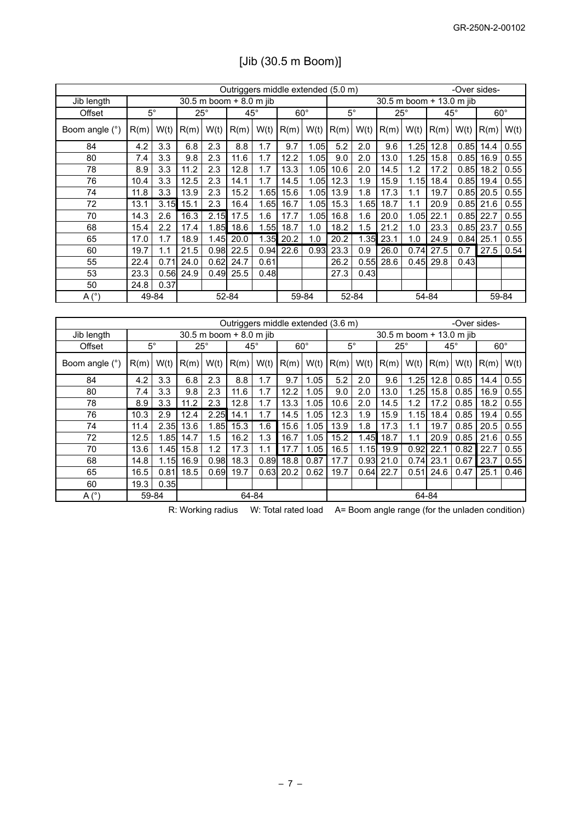| Outriggers middle extended (5.0 m) |      |                        |              |      |                                    |      |            | -Over sides- |                        |       |              |                          |                          |              |              |       |
|------------------------------------|------|------------------------|--------------|------|------------------------------------|------|------------|--------------|------------------------|-------|--------------|--------------------------|--------------------------|--------------|--------------|-------|
| Jib length                         |      |                        |              |      | 30.5 m boom + 8.0 m jib            |      |            |              |                        |       |              | 30.5 m boom + 13.0 m jib |                          |              |              |       |
| Offset                             |      | $\overline{5^{\circ}}$ | $25^\circ$   |      | $45^\circ$                         |      | $60^\circ$ |              | $\overline{5^{\circ}}$ |       | $25^\circ$   |                          | $45^{\circ}$             |              | $60^\circ$   |       |
| Boom angle (°)                     | R(m) | W(t)                   | R(m)         | W(t) | R(m)                               | W(t) | R(m)       | W(t)         | R(m)                   | W(t)  | R(m)         | W(t)                     | R(m)                     | W(t)         | R(m)         | W(t)  |
| 84                                 | 4.2  | 3.3                    | 6.8          | 2.3  | 8.8                                | 1.7  | 9.7        | 1.05         | 5.2                    | 2.0   | 9.6          | 1.25                     | 12.8                     | 0.85         | 14.4         | 0.55  |
| 80                                 | 7.4  | 3.3                    | 9.8          | 2.3  | 11.6                               | 1.7  | 12.2       | 1.05         | 9.0                    | 2.0   | 13.0         | 1.25                     | 15.8                     | 0.85         | 16.9         | 0.55  |
| 78                                 | 8.9  | 3.3                    | 11.2         | 2.3  | 12.8                               | 1.7  | 13.3       | 1.05         | 10.6                   | 2.0   | 14.5         | 1.2                      | 17.2                     | 0.85         | 18.2         | 0.55  |
| 76                                 | 10.4 | 3.3                    | 12.5         | 2.3  | 14.1                               | 1.7  | 14.5       | 1.05         | 12.3                   | 1.9   | 15.9         | 1.15                     | 18.4                     | 0.85         | 19.4         | 0.55  |
| 74                                 | 11.8 | 3.3                    | 13.9         | 2.3  | 15.2                               | 1.65 | 15.6       | 1.05         | 13.9                   | 1.8   | 17.3         | 1.1                      | 19.7                     | 0.85         | 20.5         | 0.55  |
| 72                                 | 13.1 | 3.15                   | 15.1         | 2.3  | 16.4                               | 1.65 | 16.7       | 1.05         | 15.3                   | 1.65  | 18.7         | 1.1                      | 20.9                     | 0.85         | 21.6         | 0.55  |
| 70                                 | 14.3 | 2.6                    | 16.3         | 2.15 | 17.5                               | 1.6  | 17.7       | 1.05         | 16.8                   | 1.6   | 20.0         | 1.05                     | 22.1                     | 0.85         | 22.7         | 0.55  |
| 68                                 | 15.4 | 2.2                    | 17.4         | 1.85 | 18.6                               | 1.55 | 18.7       | 1.0          | 18.2                   | 1.5   | 21.2         | 1.0                      | 23.3                     | 0.85         | 23.7         | 0.55  |
| 65                                 | 17.0 | 1.7                    | 18.9         | 1.45 | 20.0                               | 1.35 | 20.2       | 1.0          | 20.2                   | 1.35  | 23.1         | 1.0                      | 24.9                     | 0.84         | 25.1         | 0.55  |
| 60                                 | 19.7 | 1.1                    | 21.5         | 0.98 | 22.5                               | 0.94 | 22.6       | 0.93         | 23.3                   | 0.9   | 26.0         | 0.74                     | 27.5                     | 0.7          | 27.5         | 0.54  |
| 55                                 | 22.4 | 0.71                   | 24.0         | 0.62 | 24.7                               | 0.61 |            |              | 26.2                   | 0.55  | 28.6         | 0.45                     | 29.8                     | 0.43         |              |       |
| 53                                 | 23.3 | 0.56                   | 24.9         | 0.49 | 25.5                               | 0.48 |            |              | 27.3                   | 0.43  |              |                          |                          |              |              |       |
| 50                                 | 24.8 | 0.37                   |              |      |                                    |      |            |              |                        |       |              |                          |                          |              |              |       |
| A <sup>°</sup>                     |      | 49-84                  |              |      | 52-84                              |      |            | 59-84        |                        | 52-84 |              |                          | 54-84                    |              |              | 59-84 |
|                                    |      |                        |              |      |                                    |      |            |              |                        |       |              |                          |                          |              |              |       |
|                                    |      |                        |              |      | Outriggers middle extended (3.6 m) |      |            |              |                        |       |              |                          |                          |              | -Over sides- |       |
| Jib length                         |      |                        |              |      | 30.5 m boom + 8.0 m jib            |      |            |              |                        |       |              |                          | 30.5 m boom + 13.0 m jib |              |              |       |
| Offset                             |      | $\overline{5^{\circ}}$ | $25^{\circ}$ |      | $45^{\circ}$                       |      | $60^\circ$ |              | $5^\circ$              |       | $25^{\circ}$ |                          | $45^{\circ}$             | $60^{\circ}$ |              |       |
| Boom angle (°)                     | R(m) | W(t)                   | R(m)         | W(t) | R(m)                               | W(t) | R(m)       | W(t)         | R(m)                   | W(t)  | R(m)         | W(t)                     | R(m)                     | W(t)         | R(m)         | W(t)  |
| 84                                 | 4.2  | 3.3                    | 6.8          | 2.3  | 8.8                                | 1.7  | 9.7        | 1.05         | 5.2                    | 2.0   | 9.6          | 1.25                     | 12.8                     | 0.85         | 14.4         | 0.55  |
| 80                                 | 7.4  | 3.3                    | 9.8          | 2.3  | 11.6                               | 1.7  | 12.2       | 1.05         | 9.0                    | 2.0   | 13.0         | 1.25                     | 15.8                     | 0.85         | 16.9         | 0.55  |
| 78                                 | 8.9  | 3.3                    | 11.2         | 2.3  | 12.8                               | 1.7  | 13.3       | 1.05         | 10.6                   | 2.0   | 14.5         | 1.2                      | 17.2                     | 0.85         | 18.2         | 0.55  |
| 76                                 | 10.3 | 2.9                    | 12.4         | 2.25 | 14.1                               | 1.7  | 14.5       | 1.05         | 12.3                   | 1.9   | 15.9         | 1.15                     | 18.4                     | 0.85         | 19.4         | 0.55  |
| 74                                 | 11.4 | 2.35                   | 13.6         | 1.85 | 15.3                               | 1.6  | 15.6       | 1.05         | 13.9                   | 1.8   | 17.3         | 1.1                      | 19.7                     | 0.85         | 20.5         | 0.55  |
| 72                                 | 12.5 | 1.85                   | 14.7         | 1.5  | 16.2                               | 1.3  | 16.7       | 1.05         | 15.2                   | 1.45  | 18.7         | 1.1                      | 20.9                     | 0.85         | 21.6         | 0.55  |
| 70                                 | 13.6 | 1.45                   | 15.8         | 1.2  | 17.3                               | 1.1  | 17.7       | 1.05         | 16.5                   | 1.15  | 19.9         | 0.92                     | 22.1                     | 0.82         | 22.7         | 0.55  |
| 68                                 | 14.8 | 1.15                   | 16.9         | 0.98 | 18.3                               | 0.89 | 18.8       | 0.87         | 17.7                   | 0.93  | 21.0         | 0.74                     | 23.1                     | 0.67         | 23.7         | 0.55  |
| 65                                 | 16.5 | 0.81                   | 18.5         | 0.69 | 19.7                               | 0.63 | 20.2       | 0.62         | 19.7                   | 0.64  | 22.7         | 0.51                     | 24.6                     | 0.47         | 25.1         | 0.46  |
| 60                                 | 19.3 | 0.35                   |              |      |                                    |      |            |              |                        |       |              |                          |                          |              |              |       |
| A <sup>°</sup>                     |      | 59-84                  |              |      | 64-84                              |      |            |              |                        |       |              |                          | 64-84                    |              |              |       |

# [Jib (30.5 m Boom)]

R: Working radius W: Total rated load A= Boom angle range (for the unladen condition)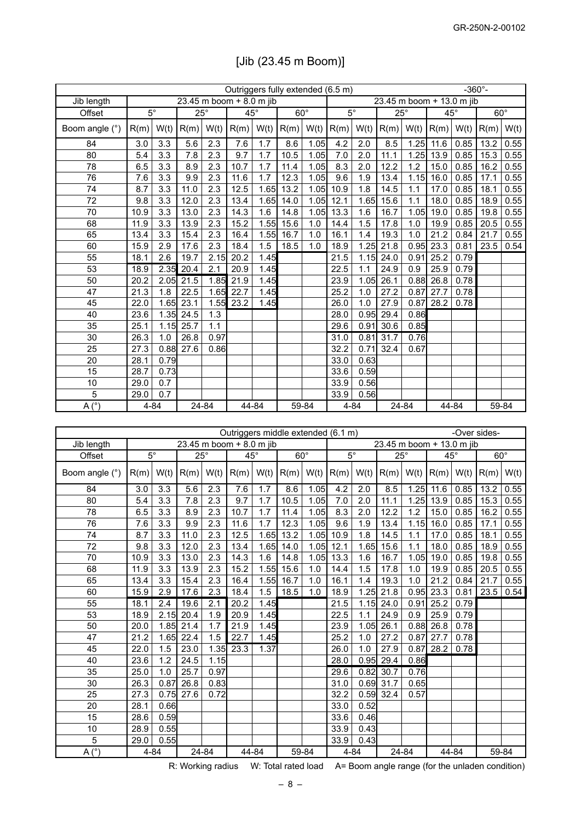|                          | Outriggers fully extended (6.5 m) |                        |      |                          |      |            |      |            |                           |          | $-360^{\circ}$ - |            |              |       |            |       |
|--------------------------|-----------------------------------|------------------------|------|--------------------------|------|------------|------|------------|---------------------------|----------|------------------|------------|--------------|-------|------------|-------|
| Jib length               |                                   |                        |      | 23.45 m boom + 8.0 m jib |      |            |      |            | 23.45 m boom + 13.0 m jib |          |                  |            |              |       |            |       |
| Offset                   |                                   | $\overline{5^{\circ}}$ |      | $25^\circ$               |      | $45^\circ$ |      | $60^\circ$ | $\overline{5^{\circ}}$    |          |                  | $25^\circ$ | $45^{\circ}$ |       | $60^\circ$ |       |
| Boom angle (°)           | R(m)                              | W(t)                   | R(m) | W(t)                     | R(m) | W(t)       | R(m) | W(t)       | R(m)                      | W(t)     | R(m)             | W(t)       | R(m)         | W(t)  | R(m)       | W(t)  |
| 84                       | 3.0                               | 3.3                    | 5.6  | 2.3                      | 7.6  | 1.7        | 8.6  | 1.05       | 4.2                       | 2.0      | 8.5              | 1.25       | 11.6         | 0.85  | 13.2       | 0.55  |
| 80                       | 5.4                               | 3.3                    | 7.8  | 2.3                      | 9.7  | 1.7        | 10.5 | 1.05       | 7.0                       | 2.0      | 11.1             | 1.25       | 13.9         | 0.85  | 15.3       | 0.55  |
| 78                       | 6.5                               | 3.3                    | 8.9  | 2.3                      | 10.7 | 1.7        | 11.4 | 1.05       | 8.3                       | 2.0      | 12.2             | 1.2        | 15.0         | 0.85  | 16.2       | 0.55  |
| 76                       | 7.6                               | 3.3                    | 9.9  | 2.3                      | 11.6 | 1.7        | 12.3 | 1.05       | 9.6                       | 1.9      | 13.4             | 1.15       | 16.0         | 0.85  | 17.1       | 0.55  |
| 74                       | 8.7                               | 3.3                    | 11.0 | 2.3                      | 12.5 | 1.65       | 13.2 | 1.05       | 10.9                      | 1.8      | 14.5             | 1.1        | 17.0         | 0.85  | 18.1       | 0.55  |
| 72                       | 9.8                               | 3.3                    | 12.0 | 2.3                      | 13.4 | 1.65       | 14.0 | 1.05       | 12.1                      | 1.65     | 15.6             | 1.1        | 18.0         | 0.85  | 18.9       | 0.55  |
| 70                       | 10.9                              | 3.3                    | 13.0 | 2.3                      | 14.3 | 1.6        | 14.8 | 1.05       | 13.3                      | 1.6      | 16.7             | 1.05       | 19.0         | 0.85  | 19.8       | 0.55  |
| 68                       | 11.9                              | 3.3                    | 13.9 | 2.3                      | 15.2 | 1.55       | 15.6 | 1.0        | 14.4                      | 1.5      | 17.8             | 1.0        | 19.9         | 0.85  | 20.5       | 0.55  |
| 65                       | 13.4                              | 3.3                    | 15.4 | 2.3                      | 16.4 | 1.55       | 16.7 | 1.0        | 16.1                      | 1.4      | 19.3             | 1.0        | 21.2         | 0.84  | 21.7       | 0.55  |
| 60                       | 15.9                              | 2.9                    | 17.6 | 2.3                      | 18.4 | 1.5        | 18.5 | 1.0        | 18.9                      | 1.25     | 21.8             | 0.95       | 23.3         | 0.81  | 23.5       | 0.54  |
| 55                       | 18.1                              | 2.6                    | 19.7 | 2.15                     | 20.2 | 1.45       |      |            | 21.5                      | 1.15     | 24.0             | 0.91       | 25.2         | 0.79  |            |       |
| 53                       | 18.9                              | 2.35                   | 20.4 | 2.1                      | 20.9 | 1.45       |      |            | 22.5                      | 1.1      | 24.9             | 0.9        | 25.9         | 0.79  |            |       |
| 50                       | 20.2                              | 2.05                   | 21.5 | 1.85                     | 21.9 | 1.45       |      |            | 23.9                      | 1.05     | 26.1             | 0.88       | 26.8         | 0.78  |            |       |
| 47                       | 21.3                              | 1.8                    | 22.5 | 1.65                     | 22.7 | 1.45       |      |            | 25.2                      | 1.0      | 27.2             | 0.87       | 27.7         | 0.78  |            |       |
| 45                       | 22.0                              | 1.65                   | 23.1 | 1.55                     | 23.2 | 1.45       |      |            | 26.0                      | 1.0      | 27.9             | 0.87       | 28.2         | 0.78  |            |       |
| 40                       | 23.6                              | 1.35                   | 24.5 | 1.3                      |      |            |      |            | 28.0                      | 0.95     | 29.4             | 0.86       |              |       |            |       |
| 35                       | 25.1                              | 1.15                   | 25.7 | 1.1                      |      |            |      |            | 29.6                      | 0.91     | 30.6             | 0.85       |              |       |            |       |
| 30                       | 26.3                              | 1.0                    | 26.8 | 0.97                     |      |            |      |            | 31.0                      | 0.81     | 31.7             | 0.76       |              |       |            |       |
| 25                       | 27.3                              | 0.88                   | 27.6 | 0.86                     |      |            |      |            | 32.2                      | 0.71     | 32.4             | 0.67       |              |       |            |       |
| 20                       | 28.1                              | 0.79                   |      |                          |      |            |      |            | 33.0                      | 0.63     |                  |            |              |       |            |       |
| 15                       | 28.7                              | 0.73                   |      |                          |      |            |      |            | 33.6                      | 0.59     |                  |            |              |       |            |       |
| 10                       | 29.0                              | 0.7                    |      |                          |      |            |      |            | 33.9                      | 0.56     |                  |            |              |       |            |       |
| 5                        | 29.0                              | 0.7                    |      |                          |      |            |      |            | 33.9                      | 0.56     |                  |            |              |       |            |       |
| $\overline{A(^{\circ})}$ |                                   | $4 - 84$               |      | 24-84                    |      | 44-84      |      | 59-84      |                           | $4 - 84$ |                  | 24-84      |              | 44-84 |            | 59-84 |

|  |  |  | [Jib (23.45 m Boom)] |  |
|--|--|--|----------------------|--|
|--|--|--|----------------------|--|

| Outriggers middle extended (6.1 m) |             |          |              |                          |              |      |            |       |                           |      |              |       |              |       | -Over sides- |       |
|------------------------------------|-------------|----------|--------------|--------------------------|--------------|------|------------|-------|---------------------------|------|--------------|-------|--------------|-------|--------------|-------|
| Jib length                         |             |          |              | 23.45 m boom + 8.0 m jib |              |      |            |       | 23.45 m boom + 13.0 m jib |      |              |       |              |       |              |       |
| Offset                             | $5^{\circ}$ |          | $25^{\circ}$ |                          | $45^{\circ}$ |      | $60^\circ$ |       | $5^\circ$                 |      | $25^{\circ}$ |       | $45^{\circ}$ |       | $60^\circ$   |       |
| Boom angle (°)                     | R(m)        | W(t)     | R(m)         | W(t)                     | R(m)         | W(t) | R(m)       | W(t)  | R(m)                      | W(t) | R(m)         | W(t)  | R(m)         | W(t)  | R(m)         | W(t)  |
| 84                                 | 3.0         | 3.3      | 5.6          | 2.3                      | 7.6          | 1.7  | 8.6        | 1.05  | 4.2                       | 2.0  | 8.5          | 1.25  | 11.6         | 0.85  | 13.2         | 0.55  |
| 80                                 | 5.4         | 3.3      | 7.8          | 2.3                      | 9.7          | 1.7  | 10.5       | 1.05  | 7.0                       | 2.0  | 11.1         | 1.25  | 13.9         | 0.85  | 15.3         | 0.55  |
| 78                                 | 6.5         | 3.3      | 8.9          | 2.3                      | 10.7         | 1.7  | 11.4       | 1.05  | 8.3                       | 2.0  | 12.2         | 1.2   | 15.0         | 0.85  | 16.2         | 0.55  |
| 76                                 | 7.6         | 3.3      | 9.9          | 2.3                      | 11.6         | 1.7  | 12.3       | 1.05  | 9.6                       | 1.9  | 13.4         | 1.15  | 16.0         | 0.85  | 17.1         | 0.55  |
| 74                                 | 8.7         | 3.3      | 11.0         | 2.3                      | 12.5         | 1.65 | 13.2       | 1.05  | 10.9                      | 1.8  | 14.5         | 1.1   | 17.0         | 0.85  | 18.1         | 0.55  |
| 72                                 | 9.8         | 3.3      | 12.0         | 2.3                      | 13.4         | 1.65 | 14.0       | 1.05  | 12.1                      | 1.65 | 15.6         | 1.1   | 18.0         | 0.85  | 18.9         | 0.55  |
| 70                                 | 10.9        | 3.3      | 13.0         | 2.3                      | 14.3         | 1.6  | 14.8       | 1.05  | 13.3                      | 1.6  | 16.7         | 1.05  | 19.0         | 0.85  | 19.8         | 0.55  |
| 68                                 | 11.9        | 3.3      | 13.9         | 2.3                      | 15.2         | 1.55 | 15.6       | 1.0   | 14.4                      | 1.5  | 17.8         | 1.0   | 19.9         | 0.85  | 20.5         | 0.55  |
| 65                                 | 13.4        | 3.3      | 15.4         | 2.3                      | 16.4         | 1.55 | 16.7       | 1.0   | 16.1                      | 1.4  | 19.3         | 1.0   | 21.2         | 0.84  | 21.7         | 0.55  |
| 60                                 | 15.9        | 2.9      | 17.6         | 2.3                      | 18.4         | 1.5  | 18.5       | 1.0   | 18.9                      | 1.25 | 21.8         | 0.95  | 23.3         | 0.81  | 23.5         | 0.54  |
| 55                                 | 18.1        | 2.4      | 19.6         | 2.1                      | 20.2         | 1.45 |            |       | 21.5                      | 1.15 | 24.0         | 0.91  | 25.2         | 0.79  |              |       |
| 53                                 | 18.9        | 2.15     | 20.4         | 1.9                      | 20.9         | 1.45 |            |       | 22.5                      | 1.1  | 24.9         | 0.9   | 25.9         | 0.79  |              |       |
| 50                                 | 20.0        | 1.85     | 21.4         | 1.7                      | 21.9         | 1.45 |            |       | 23.9                      | 1.05 | 26.1         | 0.88  | 26.8         | 0.78  |              |       |
| 47                                 | 21.2        | 1.65     | 22.4         | 1.5                      | 22.7         | 1.45 |            |       | 25.2                      | 1.0  | 27.2         | 0.87  | 27.7         | 0.78  |              |       |
| 45                                 | 22.0        | 1.5      | 23.0         | 1.35                     | 23.3         | 1.37 |            |       | 26.0                      | 1.0  | 27.9         | 0.87  | 28.2         | 0.78  |              |       |
| 40                                 | 23.6        | 1.2      | 24.5         | 1.15                     |              |      |            |       | 28.0                      | 0.95 | 29.4         | 0.86  |              |       |              |       |
| 35                                 | 25.0        | 1.0      | 25.7         | 0.97                     |              |      |            |       | 29.6                      | 0.82 | 30.7         | 0.76  |              |       |              |       |
| 30                                 | 26.3        | 0.87     | 26.8         | 0.83                     |              |      |            |       | 31.0                      |      | $0.69$ 31.7  | 0.65  |              |       |              |       |
| 25                                 | 27.3        | 0.75     | 27.6         | 0.72                     |              |      |            |       | 32.2                      |      | $0.59$ 32.4  | 0.57  |              |       |              |       |
| 20                                 | 28.1        | 0.66     |              |                          |              |      |            |       | 33.0                      | 0.52 |              |       |              |       |              |       |
| 15                                 | 28.6        | 0.59     |              |                          |              |      |            |       | 33.6                      | 0.46 |              |       |              |       |              |       |
| 10                                 | 28.9        | 0.55     |              |                          |              |      |            |       | 33.9                      | 0.43 |              |       |              |       |              |       |
| 5                                  | 29.0        | 0.55     |              |                          |              |      |            |       | 33.9                      | 0.43 |              |       |              |       |              |       |
| A <sup>°</sup>                     |             | $4 - 84$ |              | 24-84                    | 44-84        |      |            | 59-84 | $4 - 84$                  |      |              | 24-84 |              | 44-84 |              | 59-84 |

R: Working radius W: Total rated load A= Boom angle range (for the unladen condition)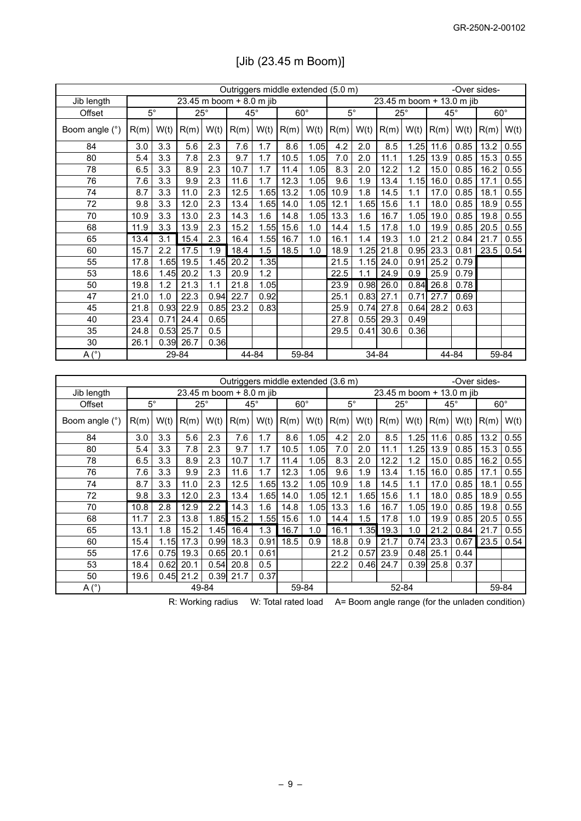|                 | Outriggers middle extended (5.0 m)<br>-Over sides- |                  |            |                  |                                    |       |                    |                           |                        |      |                           |                   |              |       |              |      |
|-----------------|----------------------------------------------------|------------------|------------|------------------|------------------------------------|-------|--------------------|---------------------------|------------------------|------|---------------------------|-------------------|--------------|-------|--------------|------|
| Jib length      |                                                    |                  |            |                  | 23.45 m boom + 8.0 m jib           |       |                    |                           |                        |      | 23.45 m boom + 13.0 m jib |                   |              |       |              |      |
| Offset          | $\overline{5^{\circ}}$                             |                  | $25^\circ$ |                  | $45^\circ$                         |       | $60^\circ$         |                           | $\overline{5^{\circ}}$ |      | $25^{\circ}$              |                   | $45^{\circ}$ |       | $60^\circ$   |      |
| Boom angle (°)  | R(m)                                               | W(t)             | R(m)       | W(t)             | R(m)                               | W(t)  | R(m)               | W(t)                      | R(m)                   | W(t) | R(m)                      | W(t)              | R(m)         | W(t)  | R(m)         | W(t) |
| 84              | 3.0                                                | 3.3              | 5.6        | 2.3              | 7.6                                | 1.7   | 8.6                | 1.05                      | 4.2                    | 2.0  | 8.5                       | 1.25              | 11.6         | 0.85  | 13.2         | 0.55 |
| 80              | 5.4                                                | 3.3              | 7.8        | 2.3              | 9.7                                | 1.7   | 10.5               | 1.05                      | 7.0                    | 2.0  | 11.1                      | $\overline{1.25}$ | 13.9         | 0.85  | 15.3         | 0.55 |
| 78              | 6.5                                                | 3.3              | 8.9        | 2.3              | 10.7                               | 1.7   | 11.4               | 1.05                      | 8.3                    | 2.0  | 12.2                      | 1.2               | 15.0         | 0.85  | 16.2         | 0.55 |
| 76              | 7.6                                                | 3.3              | 9.9        | 2.3              | 11.6                               | 1.7   | 12.3               | 1.05                      | 9.6                    | 1.9  | 13.4                      | 1.15              | 16.0         | 0.85  | 17.1         | 0.55 |
| 74              | 8.7                                                | 3.3              | 11.0       | 2.3              | 12.5                               | 1.65  | 13.2               | 1.05                      | 10.9                   | 1.8  | 14.5                      | 1.1               | 17.0         | 0.85  | 18.1         | 0.55 |
| $\overline{72}$ | 9.8                                                | 3.3              | 12.0       | 2.3              | 13.4                               | 1.65  | 14.0               | 1.05                      | 12.1                   | 1.65 | 15.6                      | 1.1               | 18.0         | 0.85  | 18.9         | 0.55 |
| 70              | 10.9                                               | 3.3              | 13.0       | 2.3              | 14.3                               | 1.6   | 14.8               | 1.05                      | 13.3                   | 1.6  | 16.7                      | 1.05              | 19.0         | 0.85  | 19.8         | 0.55 |
| 68              | 11.9                                               | 3.3              | 13.9       | 2.3              | 15.2                               | 1.55  | 15.6               | 1.0                       | 14.4                   | 1.5  | 17.8                      | 1.0               | 19.9         | 0.85  | 20.5         | 0.55 |
| 65              | 13.4                                               | $\overline{3.1}$ | 15.4       | 2.3              | 16.4                               | 1.55  | 16.7               | 1.0                       | 16.1                   | 1.4  | 19.3                      | 1.0               | 21.2         | 0.84  | 21.7         | 0.55 |
| 60              | 15.7                                               | 2.2              | 17.5       | 1.9              | 18.4                               | 1.5   | 18.5               | 1.0                       | 18.9                   | 1.25 | 21.8                      | 0.95              | 23.3         | 0.81  | 23.5         | 0.54 |
| 55              | 17.8                                               | 1.65             | 19.5       | 1.45             | 20.2                               | 1.35  |                    |                           | 21.5                   | 1.15 | 24.0                      | 0.91              | 25.2         | 0.79  |              |      |
| 53              | 18.6                                               | 1.45             | 20.2       | 1.3              | 20.9                               | 1.2   |                    |                           | 22.5                   | 1.1  | 24.9                      | 0.9               | 25.9         | 0.79  |              |      |
| 50              | 19.8                                               | 1.2              | 21.3       | 1.1              | 21.8                               | 1.05  |                    |                           | 23.9                   | 0.98 | 26.0                      | 0.84              | 26.8         | 0.78  |              |      |
| 47              | 21.0                                               | 1.0              | 22.3       | 0.94             | 22.7                               | 0.92  |                    |                           | 25.1                   | 0.83 | 27.1                      | 0.71              | 27.7         | 0.69  |              |      |
| 45              | 21.8                                               | 0.93             | 22.9       | 0.85             | 23.2                               | 0.83  |                    |                           | 25.9                   | 0.74 | 27.8                      | 0.64              | 28.2         | 0.63  |              |      |
| 40              | 23.4                                               | 0.71             | 24.4       | 0.65             |                                    |       |                    |                           | 27.8                   | 0.55 | 29.3                      | 0.49              |              |       |              |      |
| 35              | 24.8                                               | 0.53             | 25.7       | 0.5              |                                    |       |                    |                           | 29.5                   | 0.41 | 30.6                      | 0.36              |              |       |              |      |
| $\overline{30}$ | 26.1                                               | 0.39             | 26.7       | 0.36             |                                    |       |                    |                           |                        |      |                           |                   |              |       |              |      |
| $A(^{\circ})$   |                                                    | 29-84<br>44-84   |            |                  |                                    | 59-84 |                    |                           | 34-84                  |      |                           | 44-84             | 59-84        |       |              |      |
|                 |                                                    |                  |            |                  |                                    |       |                    |                           |                        |      |                           |                   |              |       |              |      |
|                 |                                                    |                  |            |                  | Outriggers middle extended (3.6 m) |       |                    |                           |                        |      |                           |                   |              |       | -Over sides- |      |
| Jib length      |                                                    |                  |            |                  | 23.45 m boom + 8.0 m jib           |       |                    | 23.45 m boom + 13.0 m jib |                        |      |                           |                   |              |       |              |      |
| Offset          | $5^\circ$                                          |                  | $25^\circ$ |                  | $45^{\circ}$                       |       | $60^\circ$         |                           | $5^\circ$              |      | $25^\circ$                |                   | $45^{\circ}$ |       | $60^\circ$   |      |
| Boom angle (°)  | R(m)                                               | W(t)             | R(m)       | W(t)             | R(m)                               | W(t)  | R(m)               | W(t)                      | R(m)                   | W(t) | R(m)                      | W(t)              | R(m)         | W(t)  | R(m)         | W(t) |
| 84              | $\overline{3.0}$                                   | $\overline{3.3}$ | 5.6        | 2.3              | 7.6                                | 1.7   | 8.6                | 1.05                      | 4.2                    | 2.0  | 8.5                       | $\overline{1.25}$ | 11.6         | 0.85  | 13.2         | 0.55 |
| 80              | 5.4                                                | 3.3              | 7.8        | 2.3              | 9.7                                | 1.7   | 10.5               | 1.05                      | 7.0                    | 2.0  | 11.1                      | 1.25              | 13.9         | 0.85  | 15.3         | 0.55 |
| 78              | 6.5                                                | 3.3              | 8.9        | 2.3              | 10.7                               | 1.7   | 11.4               | 1.05                      | 8.3                    | 2.0  | 12.2                      | 1.2               | 15.0         | 0.85  | 16.2         | 0.55 |
| 76              | 7.6                                                | 3.3              | 9.9        | 2.3              | 11.6                               | 1.7   | 12.3               | 1.05                      | 9.6                    | 1.9  | 13.4                      | 1.15              | 16.0         | 0.85  | 17.1         | 0.55 |
| 74              | 8.7                                                | 3.3              | 11.0       | 2.3              | 12.5                               | 1.65  | 13.2               | 1.05                      | 10.9                   | 1.8  | 14.5                      | 1.1               | 17.0         | 0.85  | 18.1         | 0.55 |
| $\overline{72}$ | 9.8                                                | 3.3              | 12.0       | 2.3              | 13.4                               | 1.65  | 14.0               | 1.05                      | 12.1                   | 1.65 | 15.6                      | 1.1               | 18.0         | 0.85  | 18.9         | 0.55 |
| 70              | 10.8                                               | 2.8              | 12.9       | $\overline{2.2}$ | 14.3                               | 1.6   | 14.8               | 1.05                      | 13.3                   | 1.6  | 16.7                      | 1.05              | 19.0         | 0.85  | 19.8         | 0.55 |
| $\overline{68}$ | 11.7                                               | 2.3              | 13.8       | 1.85             | 15.2                               | 1.55  | 15.6               | 1.0                       | 14.4                   | 1.5  | 17.8                      | 1.0               | 19.9         | 0.85  | 20.5         | 0.55 |
| 65              | 13.1                                               | 1.8              | 15.2       | 1.45             | 16.4                               | 1.3   | 16.7               | 1.0                       | 16.1                   | 1.35 | 19.3                      | 1.0               | 21.2         | 0.84  | 21.7         | 0.55 |
| 60              | 15.4                                               | 1.15             | 17.3       | 0.99             | 18.3                               | 0.91  | 18.5               | 0.9                       | 18.8                   | 0.9  | 21.7                      | 0.74              | 23.3         | 0.67  | 23.5         | 0.54 |
| 55              | 17.6                                               | 0.75             | 19.3       | 0.65             | 20.1                               | 0.61  |                    |                           | 21.2                   | 0.57 | 23.9                      | 0.48              | 25.1         | 0.44  |              |      |
| 53              | 18.4                                               | 0.62             | 20.1       | 0.54             | 20.8                               | 0.5   |                    |                           | 22.2                   | 0.46 | 24.7                      | 0.39              | 25.8         | 0.37  |              |      |
| $\overline{50}$ | 19.6                                               | 0.45             | 21.2       | 0.39             | 21.7                               | 0.37  |                    |                           |                        |      |                           |                   |              |       |              |      |
| A(°)            | 49-84                                              |                  |            |                  |                                    |       | $52 - 84$<br>59-84 |                           |                        |      |                           |                   |              | 59-84 |              |      |

# [Jib (23.45 m Boom)]

R: Working radius W: Total rated load A= Boom angle range (for the unladen condition)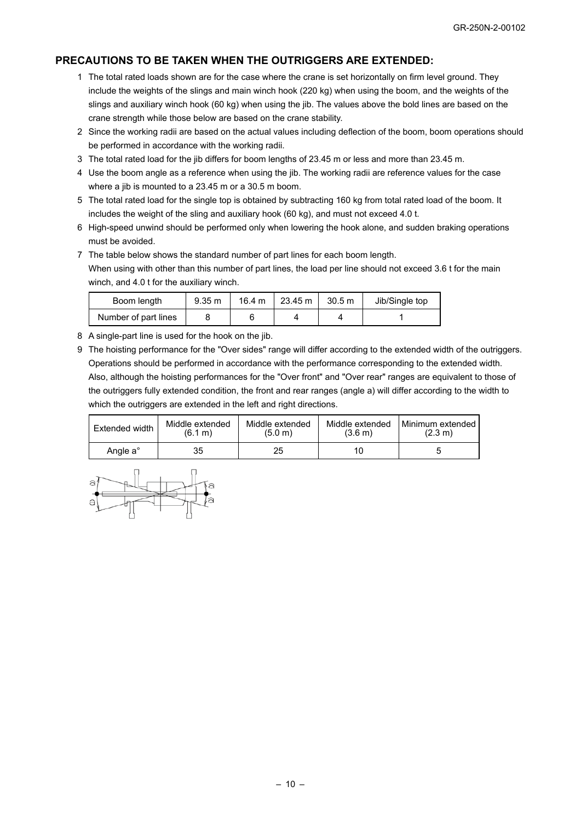### **PRECAUTIONS TO BE TAKEN WHEN THE OUTRIGGERS ARE EXTENDED:**

- 1 The total rated loads shown are for the case where the crane is set horizontally on firm level ground. They include the weights of the slings and main winch hook (220 kg) when using the boom, and the weights of the slings and auxiliary winch hook (60 kg) when using the jib. The values above the bold lines are based on the crane strength while those below are based on the crane stability.
- 2 Since the working radii are based on the actual values including deflection of the boom, boom operations should be performed in accordance with the working radii.
- 3 The total rated load for the jib differs for boom lengths of 23.45 m or less and more than 23.45 m.
- 4 Use the boom angle as a reference when using the jib. The working radii are reference values for the case where a jib is mounted to a 23.45 m or a 30.5 m boom.
- 5 The total rated load for the single top is obtained by subtracting 160 kg from total rated load of the boom. It includes the weight of the sling and auxiliary hook (60 kg), and must not exceed 4.0 t.
- 6 High-speed unwind should be performed only when lowering the hook alone, and sudden braking operations must be avoided.
- 7 The table below shows the standard number of part lines for each boom length. When using with other than this number of part lines, the load per line should not exceed 3.6 t for the main winch, and 4.0 t for the auxiliary winch.

| Boom length          | $9.35 \text{ m}$ | $16.4 \text{ m}$ | 23.45 m | 30.5 m | Jib/Single top |
|----------------------|------------------|------------------|---------|--------|----------------|
| Number of part lines |                  |                  |         |        |                |

- 8 A single-part line is used for the hook on the jib.
- 9 The hoisting performance for the "Over sides" range will differ according to the extended width of the outriggers. Operations should be performed in accordance with the performance corresponding to the extended width. Also, although the hoisting performances for the "Over front" and "Over rear" ranges are equivalent to those of the outriggers fully extended condition, the front and rear ranges (angle a) will differ according to the width to which the outriggers are extended in the left and right directions.

| Extended width       | Middle extended | Middle extended | Middle extended | Minimum extended  |
|----------------------|-----------------|-----------------|-----------------|-------------------|
|                      | (6.1 m)         | (5.0 m)         | (3.6 m)         | $(2.3 \text{ m})$ |
| Angle a <sup>°</sup> | 35              | 25              |                 |                   |

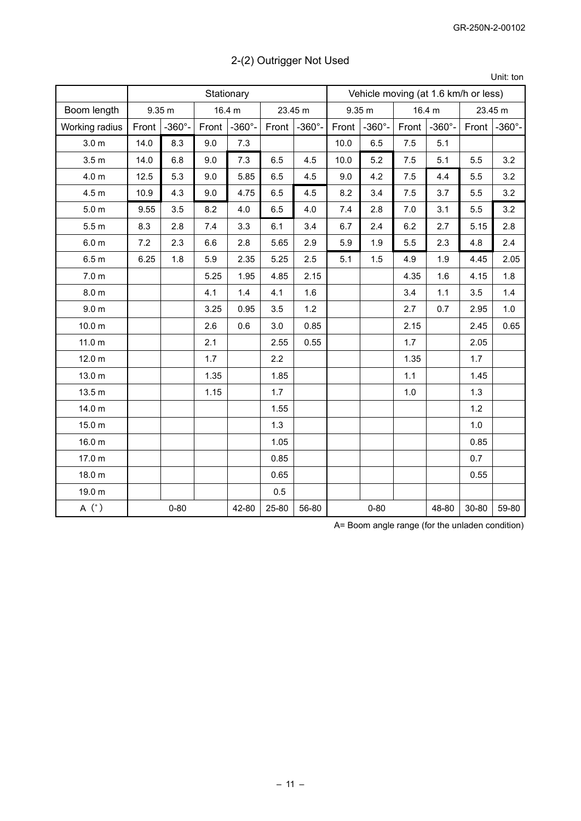| 2-(2) Outrigger Not Used |  |  |
|--------------------------|--|--|
|--------------------------|--|--|

Unit: ton

|                   |       |                  |       | Stationary     |       |                  | Vehicle moving (at 1.6 km/h or less) |                  |       |                  |       |                  |  |
|-------------------|-------|------------------|-------|----------------|-------|------------------|--------------------------------------|------------------|-------|------------------|-------|------------------|--|
| Boom length       |       | 9.35 m           |       | 16.4 m         |       | 23.45 m          |                                      | 9.35 m           |       | 16.4 m           |       | 23.45 m          |  |
| Working radius    | Front | $-360^{\circ}$ - | Front | $-360^\circ$ - | Front | $-360^{\circ}$ - | Front                                | $-360^{\circ}$ - | Front | $-360^{\circ}$ - | Front | $-360^{\circ}$ - |  |
| 3.0 <sub>m</sub>  | 14.0  | 8.3              | 9.0   | 7.3            |       |                  | 10.0                                 | 6.5              | 7.5   | 5.1              |       |                  |  |
| 3.5 <sub>m</sub>  | 14.0  | 6.8              | 9.0   | 7.3            | 6.5   | 4.5              | 10.0                                 | 5.2              | 7.5   | 5.1              | 5.5   | 3.2              |  |
| 4.0 <sub>m</sub>  | 12.5  | 5.3              | 9.0   | 5.85           | 6.5   | 4.5              | 9.0                                  | 4.2              | 7.5   | 4.4              | 5.5   | 3.2              |  |
| 4.5 <sub>m</sub>  | 10.9  | 4.3              | 9.0   | 4.75           | 6.5   | 4.5              | 8.2                                  | 3.4              | 7.5   | 3.7              | 5.5   | 3.2              |  |
| 5.0 <sub>m</sub>  | 9.55  | 3.5              | 8.2   | 4.0            | 6.5   | 4.0              | 7.4                                  | 2.8              | 7.0   | 3.1              | 5.5   | 3.2              |  |
| 5.5 <sub>m</sub>  | 8.3   | 2.8              | 7.4   | 3.3            | 6.1   | 3.4              | 6.7                                  | 2.4              | 6.2   | 2.7              | 5.15  | 2.8              |  |
| 6.0 <sub>m</sub>  | 7.2   | 2.3              | 6.6   | 2.8            | 5.65  | 2.9              | 5.9                                  | 1.9              | 5.5   | 2.3              | 4.8   | 2.4              |  |
| 6.5 <sub>m</sub>  | 6.25  | 1.8              | 5.9   | 2.35           | 5.25  | 2.5              | 5.1                                  | 1.5              | 4.9   | 1.9              | 4.45  | 2.05             |  |
| 7.0 <sub>m</sub>  |       |                  | 5.25  | 1.95           | 4.85  | 2.15             |                                      |                  | 4.35  | 1.6              | 4.15  | 1.8              |  |
| 8.0 <sub>m</sub>  |       |                  | 4.1   | 1.4            | 4.1   | 1.6              |                                      |                  | 3.4   | 1.1              | 3.5   | 1.4              |  |
| 9.0 <sub>m</sub>  |       |                  | 3.25  | 0.95           | 3.5   | 1.2              |                                      |                  | 2.7   | 0.7              | 2.95  | 1.0              |  |
| 10.0 <sub>m</sub> |       |                  | 2.6   | 0.6            | 3.0   | 0.85             |                                      |                  | 2.15  |                  | 2.45  | 0.65             |  |
| 11.0 <sub>m</sub> |       |                  | 2.1   |                | 2.55  | 0.55             |                                      |                  | 1.7   |                  | 2.05  |                  |  |
| 12.0 m            |       |                  | 1.7   |                | 2.2   |                  |                                      |                  | 1.35  |                  | 1.7   |                  |  |
| 13.0 m            |       |                  | 1.35  |                | 1.85  |                  |                                      |                  | 1.1   |                  | 1.45  |                  |  |
| 13.5 m            |       |                  | 1.15  |                | 1.7   |                  |                                      |                  | 1.0   |                  | 1.3   |                  |  |
| 14.0 m            |       |                  |       |                | 1.55  |                  |                                      |                  |       |                  | 1.2   |                  |  |
| 15.0 m            |       |                  |       |                | 1.3   |                  |                                      |                  |       |                  | 1.0   |                  |  |
| 16.0 m            |       |                  |       |                | 1.05  |                  |                                      |                  |       |                  | 0.85  |                  |  |
| 17.0 m            |       |                  |       |                | 0.85  |                  |                                      |                  |       |                  | 0.7   |                  |  |
| 18.0 m            |       |                  |       |                | 0.65  |                  |                                      |                  |       |                  | 0.55  |                  |  |
| 19.0 m            |       |                  |       |                | 0.5   |                  |                                      |                  |       |                  |       |                  |  |
| A (°)             |       | $0 - 80$         |       | 42-80          | 25-80 | 56-80            |                                      | $0 - 80$         |       | 48-80            | 30-80 | 59-80            |  |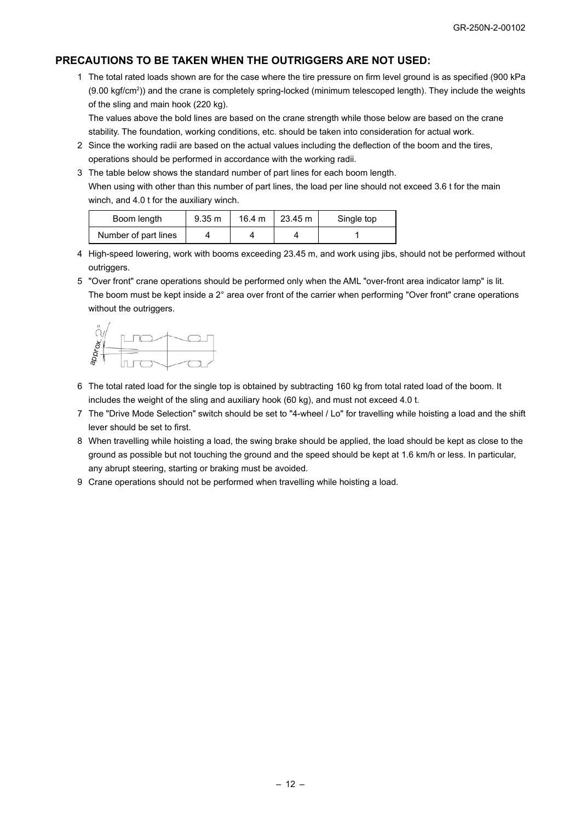#### **PRECAUTIONS TO BE TAKEN WHEN THE OUTRIGGERS ARE NOT USED:**

1 The total rated loads shown are for the case where the tire pressure on firm level ground is as specified (900 kPa (9.00 kgf/cm<sup>2</sup>)) and the crane is completely spring-locked (minimum telescoped length). They include the weights of the sling and main hook (220 kg).

The values above the bold lines are based on the crane strength while those below are based on the crane stability. The foundation, working conditions, etc. should be taken into consideration for actual work.

- 2 Since the working radii are based on the actual values including the deflection of the boom and the tires, operations should be performed in accordance with the working radii.
- 3 The table below shows the standard number of part lines for each boom length. When using with other than this number of part lines, the load per line should not exceed 3.6 t for the main winch, and 4.0 t for the auxiliary winch.

| Boom length          | 9.35 m | 16.4 m | 23.45 m | Single top |
|----------------------|--------|--------|---------|------------|
| Number of part lines |        |        |         |            |

- 4 High-speed lowering, work with booms exceeding 23.45 m, and work using jibs, should not be performed without outriggers.
- 5 "Over front" crane operations should be performed only when the AML "over-front area indicator lamp" is lit. The boom must be kept inside a 2° area over front of the carrier when performing "Over front" crane operations without the outriggers.



- 6 The total rated load for the single top is obtained by subtracting 160 kg from total rated load of the boom. It includes the weight of the sling and auxiliary hook (60 kg), and must not exceed 4.0 t.
- 7 The "Drive Mode Selection" switch should be set to "4-wheel / Lo" for travelling while hoisting a load and the shift lever should be set to first.
- 8 When travelling while hoisting a load, the swing brake should be applied, the load should be kept as close to the ground as possible but not touching the ground and the speed should be kept at 1.6 km/h or less. In particular, any abrupt steering, starting or braking must be avoided.
- 9 Crane operations should not be performed when travelling while hoisting a load.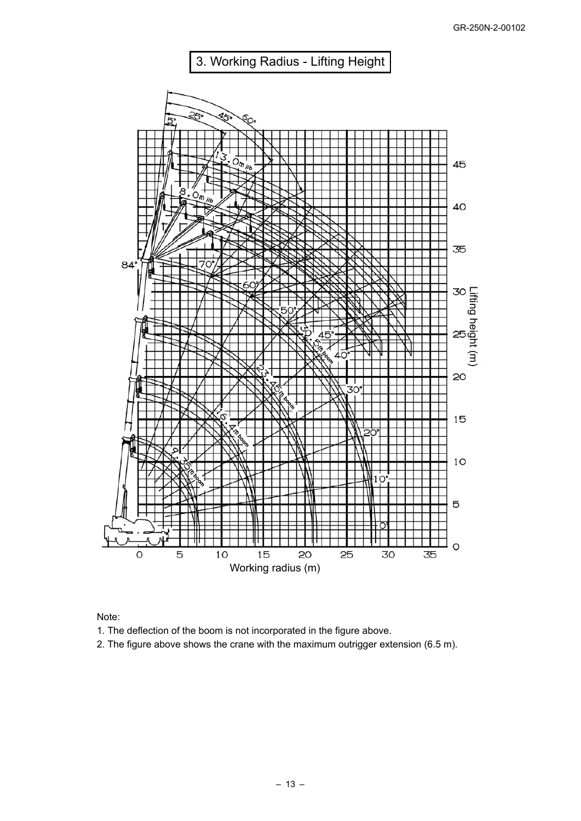

Note:

1. The deflection of the boom is not incorporated in the figure above.

2. The figure above shows the crane with the maximum outrigger extension (6.5 m).